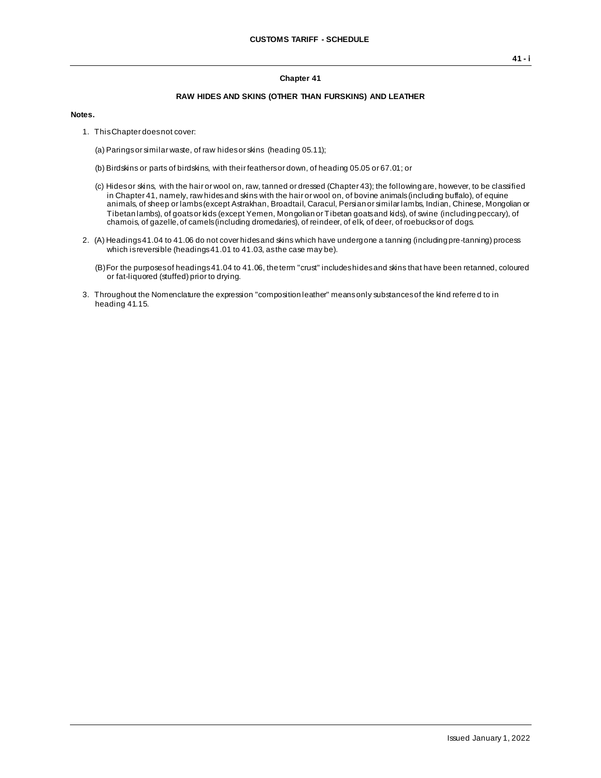## **Chapter 41**

## **RAW HIDES AND SKINS (OTHER THAN FURSKINS) AND LEATHER**

## **Notes.**

1. This Chapter does not cover:

(a) Parings or similar waste, of raw hides or skins (heading 05.11);

- (b) Birdskins or parts of birdskins, with their feathers or down, of heading 05.05 or 67.01; or
- (c) Hides or skins, with the hair or wool on, raw, tanned or dressed (Chapter 43); the following are, however, to be classified in Chapter 41, namely, raw hides and skins with the hair or wool on, of bovine animals (including buffalo), of equine animals, of sheep or lambs (except Astrakhan, Broadtail, Caracul, Persian or similar lambs, Indian, Chinese, Mongolian or Tibetan lambs), of goats or kids (except Yemen, Mongolian or Tibetan goats and kids), of swine (including peccary), of chamois, of gazelle, of camels (including dromedaries), of reindeer, of elk, of deer, of roebucks or of dogs.
- 2. (A) Headings 41.04 to 41.06 do not cover hides and skins which have undergone a tanning (including pre-tanning) process which is reversible (headings 41.01 to 41.03, as the case may be).
	- (B)For the purposes of headings 41.04 to 41.06, the term "crust" includes hides and skins that have been retanned, coloured or fat-liquored (stuffed) prior to drying.
- 3. Throughout the Nomenclature the expression "composition leather" means only substances of the kind referre d to in heading 41.15.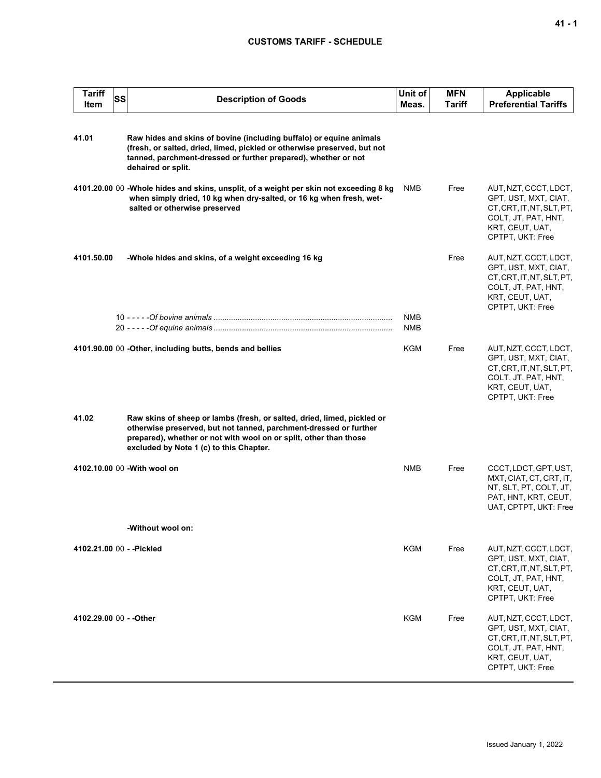## **CUSTOMS TARIFF - SCHEDULE**

| <b>Tariff</b><br>Item     | <b>SS</b> | <b>Description of Goods</b>                                                                                                                                                                                                                                  | Unit of<br>Meas.  | <b>MFN</b><br>Tariff | <b>Applicable</b><br><b>Preferential Tariffs</b>                                                                                         |
|---------------------------|-----------|--------------------------------------------------------------------------------------------------------------------------------------------------------------------------------------------------------------------------------------------------------------|-------------------|----------------------|------------------------------------------------------------------------------------------------------------------------------------------|
| 41.01                     |           | Raw hides and skins of bovine (including buffalo) or equine animals<br>(fresh, or salted, dried, limed, pickled or otherwise preserved, but not<br>tanned, parchment-dressed or further prepared), whether or not<br>dehaired or split.                      |                   |                      |                                                                                                                                          |
|                           |           | 4101.20.00 00 -Whole hides and skins, unsplit, of a weight per skin not exceeding 8 kg<br>when simply dried, 10 kg when dry-salted, or 16 kg when fresh, wet-<br>salted or otherwise preserved                                                               | <b>NMB</b>        | Free                 | AUT, NZT, CCCT, LDCT,<br>GPT, UST, MXT, CIAT,<br>CT, CRT, IT, NT, SLT, PT,<br>COLT, JT, PAT, HNT,<br>KRT, CEUT, UAT,<br>CPTPT, UKT: Free |
| 4101.50.00                |           | -Whole hides and skins, of a weight exceeding 16 kg                                                                                                                                                                                                          |                   | Free                 | AUT, NZT, CCCT, LDCT,<br>GPT, UST, MXT, CIAT,<br>CT, CRT, IT, NT, SLT, PT,<br>COLT, JT, PAT, HNT,<br>KRT, CEUT, UAT,<br>CPTPT, UKT: Free |
|                           |           |                                                                                                                                                                                                                                                              | <b>NMB</b><br>NMB |                      |                                                                                                                                          |
|                           |           | 4101.90.00 00 - Other, including butts, bends and bellies                                                                                                                                                                                                    | <b>KGM</b>        | Free                 | AUT, NZT, CCCT, LDCT,<br>GPT, UST, MXT, CIAT,<br>CT, CRT, IT, NT, SLT, PT,<br>COLT, JT, PAT, HNT,<br>KRT, CEUT, UAT,<br>CPTPT, UKT: Free |
| 41.02                     |           | Raw skins of sheep or lambs (fresh, or salted, dried, limed, pickled or<br>otherwise preserved, but not tanned, parchment-dressed or further<br>prepared), whether or not with wool on or split, other than those<br>excluded by Note 1 (c) to this Chapter. |                   |                      |                                                                                                                                          |
|                           |           | 4102.10.00 00 - With wool on                                                                                                                                                                                                                                 | <b>NMB</b>        | Free                 | CCCT, LDCT, GPT, UST,<br>MXT, CIAT, CT, CRT, IT,<br>NT, SLT, PT, COLT, JT,<br>PAT, HNT, KRT, CEUT,<br>UAT, CPTPT, UKT: Free              |
|                           |           | -Without wool on:                                                                                                                                                                                                                                            |                   |                      |                                                                                                                                          |
| 4102.21.00 00 - - Pickled |           |                                                                                                                                                                                                                                                              | KGM               | Free                 | AUT, NZT, CCCT, LDCT,<br>GPT, UST, MXT, CIAT,<br>CT, CRT, IT, NT, SLT, PT,<br>COLT, JT, PAT, HNT,<br>KRT, CEUT, UAT,<br>CPTPT, UKT: Free |
| 4102.29.00 00 - - Other   |           |                                                                                                                                                                                                                                                              | KGM               | Free                 | AUT, NZT, CCCT, LDCT,<br>GPT, UST, MXT, CIAT,<br>CT, CRT, IT, NT, SLT, PT,<br>COLT, JT, PAT, HNT,<br>KRT, CEUT, UAT,<br>CPTPT, UKT: Free |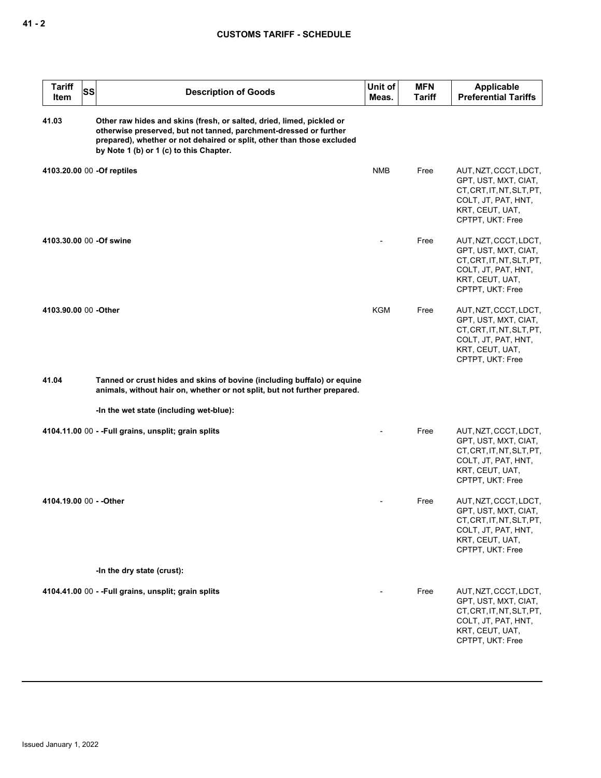| <b>Tariff</b><br>ltem   | SS | <b>Description of Goods</b>                                                                                                                                                                                                                                     | Unit of<br>Meas. | <b>MFN</b><br><b>Tariff</b> | <b>Applicable</b><br><b>Preferential Tariffs</b>                                                                                         |
|-------------------------|----|-----------------------------------------------------------------------------------------------------------------------------------------------------------------------------------------------------------------------------------------------------------------|------------------|-----------------------------|------------------------------------------------------------------------------------------------------------------------------------------|
| 41.03                   |    | Other raw hides and skins (fresh, or salted, dried, limed, pickled or<br>otherwise preserved, but not tanned, parchment-dressed or further<br>prepared), whether or not dehaired or split, other than those excluded<br>by Note 1 (b) or 1 (c) to this Chapter. |                  |                             |                                                                                                                                          |
|                         |    | 4103.20.00 00 -Of reptiles                                                                                                                                                                                                                                      | <b>NMB</b>       | Free                        | AUT, NZT, CCCT, LDCT,<br>GPT, UST, MXT, CIAT,<br>CT, CRT, IT, NT, SLT, PT,<br>COLT, JT, PAT, HNT,<br>KRT, CEUT, UAT,<br>CPTPT, UKT: Free |
| 4103.30.00 00 -Of swine |    |                                                                                                                                                                                                                                                                 |                  | Free                        | AUT, NZT, CCCT, LDCT,<br>GPT, UST, MXT, CIAT,<br>CT, CRT, IT, NT, SLT, PT,<br>COLT, JT, PAT, HNT,<br>KRT, CEUT, UAT,<br>CPTPT, UKT: Free |
| 4103.90.00 00 -Other    |    |                                                                                                                                                                                                                                                                 | KGM              | Free                        | AUT, NZT, CCCT, LDCT,<br>GPT, UST, MXT, CIAT,<br>CT, CRT, IT, NT, SLT, PT,<br>COLT, JT, PAT, HNT,<br>KRT, CEUT, UAT,<br>CPTPT, UKT: Free |
| 41.04                   |    | Tanned or crust hides and skins of bovine (including buffalo) or equine<br>animals, without hair on, whether or not split, but not further prepared.                                                                                                            |                  |                             |                                                                                                                                          |
|                         |    | -In the wet state (including wet-blue):                                                                                                                                                                                                                         |                  |                             |                                                                                                                                          |
|                         |    | 4104.11.00 00 - - Full grains, unsplit; grain splits                                                                                                                                                                                                            |                  | Free                        | AUT, NZT, CCCT, LDCT,<br>GPT, UST, MXT, CIAT,<br>CT, CRT, IT, NT, SLT, PT,<br>COLT, JT, PAT, HNT,<br>KRT, CEUT, UAT,<br>CPTPT, UKT: Free |
| 4104.19.00 00 - - Other |    |                                                                                                                                                                                                                                                                 |                  | Free                        | AUT, NZT, CCCT, LDCT,<br>GPT, UST, MXT, CIAT,<br>CT, CRT, IT, NT, SLT, PT,<br>COLT, JT, PAT, HNT,<br>KRT, CEUT, UAT,<br>CPTPT, UKT: Free |
|                         |    | -In the dry state (crust):                                                                                                                                                                                                                                      |                  |                             |                                                                                                                                          |
|                         |    | 4104.41.00 00 - - Full grains, unsplit; grain splits                                                                                                                                                                                                            |                  | Free                        | AUT, NZT, CCCT, LDCT,<br>GPT, UST, MXT, CIAT,<br>CT, CRT, IT, NT, SLT, PT,<br>COLT, JT, PAT, HNT,<br>KRT, CEUT, UAT,<br>CPTPT, UKT: Free |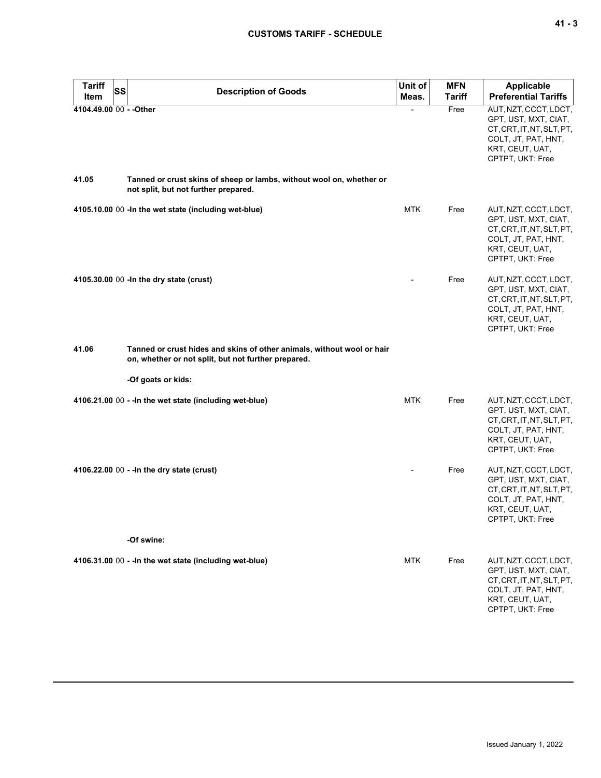|  | v<br>۰. |
|--|---------|
|--|---------|

| <b>Tariff</b><br>Item   | <b>SS</b> | <b>Description of Goods</b>                                                                                                   | Unit of<br>Meas. | <b>MFN</b><br><b>Tariff</b> | <b>Applicable</b><br><b>Preferential Tariffs</b>                                                                                         |
|-------------------------|-----------|-------------------------------------------------------------------------------------------------------------------------------|------------------|-----------------------------|------------------------------------------------------------------------------------------------------------------------------------------|
| 4104.49.00 00 - - Other |           |                                                                                                                               |                  | Free                        | AUT, NZT, CCCT, LDCT,<br>GPT, UST, MXT, CIAT,<br>CT, CRT, IT, NT, SLT, PT,<br>COLT, JT, PAT, HNT,<br>KRT, CEUT, UAT,<br>CPTPT, UKT: Free |
| 41.05                   |           | Tanned or crust skins of sheep or lambs, without wool on, whether or<br>not split, but not further prepared.                  |                  |                             |                                                                                                                                          |
|                         |           | 4105.10.00 00 - In the wet state (including wet-blue)                                                                         | <b>MTK</b>       | Free                        | AUT, NZT, CCCT, LDCT,<br>GPT, UST, MXT, CIAT,<br>CT, CRT, IT, NT, SLT, PT,<br>COLT, JT, PAT, HNT,<br>KRT, CEUT, UAT,<br>CPTPT, UKT: Free |
|                         |           | 4105.30.00 00 - In the dry state (crust)                                                                                      |                  | Free                        | AUT, NZT, CCCT, LDCT,<br>GPT, UST, MXT, CIAT,<br>CT, CRT, IT, NT, SLT, PT,<br>COLT, JT, PAT, HNT,<br>KRT, CEUT, UAT,<br>CPTPT, UKT: Free |
| 41.06                   |           | Tanned or crust hides and skins of other animals, without wool or hair<br>on, whether or not split, but not further prepared. |                  |                             |                                                                                                                                          |
|                         |           | -Of goats or kids:                                                                                                            |                  |                             |                                                                                                                                          |
|                         |           | 4106.21.00 00 - - In the wet state (including wet-blue)                                                                       | <b>MTK</b>       | Free                        | AUT, NZT, CCCT, LDCT,<br>GPT, UST, MXT, CIAT,<br>CT, CRT, IT, NT, SLT, PT,<br>COLT, JT, PAT, HNT,<br>KRT, CEUT, UAT,<br>CPTPT, UKT: Free |
|                         |           | 4106.22.00 00 - - In the dry state (crust)                                                                                    |                  | Free                        | AUT, NZT, CCCT, LDCT,<br>GPT, UST, MXT, CIAT,<br>CT, CRT, IT, NT, SLT, PT,<br>COLT, JT, PAT, HNT,<br>KRT, CEUT, UAT,<br>CPTPT, UKT: Free |
|                         |           | -Of swine:                                                                                                                    |                  |                             |                                                                                                                                          |
|                         |           | 4106.31.00 00 - - In the wet state (including wet-blue)                                                                       | <b>MTK</b>       | Free                        | AUT, NZT, CCCT, LDCT,<br>GPT, UST, MXT, CIAT,<br>CT, CRT, IT, NT, SLT, PT,<br>COLT, JT, PAT, HNT,<br>KRT, CEUT, UAT,<br>CPTPT, UKT: Free |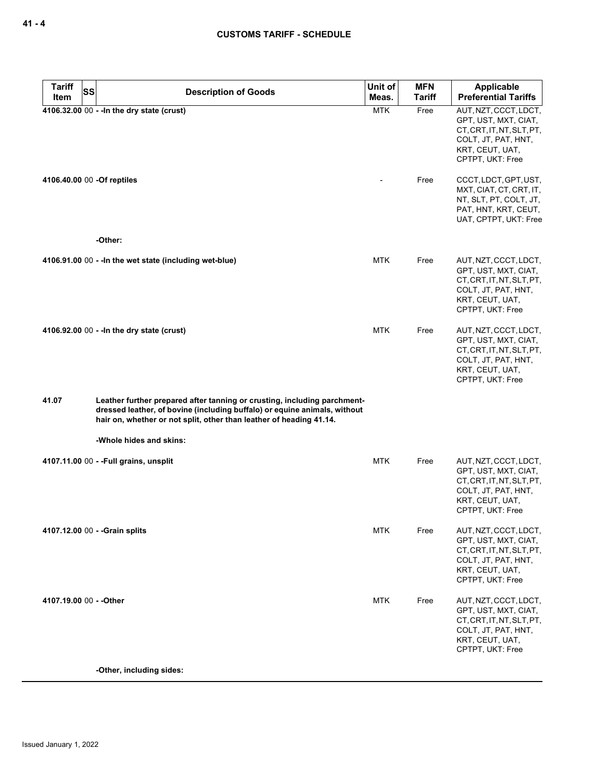| <b>Tariff</b><br>SS        | <b>Description of Goods</b>                                                                                                                                                                                                  | Unit of    | <b>MFN</b>    | <b>Applicable</b>                                                                                                                        |
|----------------------------|------------------------------------------------------------------------------------------------------------------------------------------------------------------------------------------------------------------------------|------------|---------------|------------------------------------------------------------------------------------------------------------------------------------------|
| Item                       |                                                                                                                                                                                                                              | Meas.      | <b>Tariff</b> | <b>Preferential Tariffs</b>                                                                                                              |
|                            | 4106.32.00 00 - - In the dry state (crust)                                                                                                                                                                                   | <b>MTK</b> | Free          | AUT, NZT, CCCT, LDCT,<br>GPT, UST, MXT, CIAT,<br>CT.CRT.IT.NT.SLT.PT.<br>COLT, JT, PAT, HNT,<br>KRT, CEUT, UAT,<br>CPTPT, UKT: Free      |
| 4106.40.00 00 -Of reptiles |                                                                                                                                                                                                                              |            | Free          | CCCT, LDCT, GPT, UST,<br>MXT, CIAT, CT, CRT, IT,<br>NT, SLT, PT, COLT, JT,<br>PAT, HNT, KRT, CEUT,<br>UAT, CPTPT, UKT: Free              |
|                            | -Other:                                                                                                                                                                                                                      |            |               |                                                                                                                                          |
|                            | 4106.91.00 00 - - In the wet state (including wet-blue)                                                                                                                                                                      | <b>MTK</b> | Free          | AUT, NZT, CCCT, LDCT,<br>GPT, UST, MXT, CIAT,<br>CT, CRT, IT, NT, SLT, PT,<br>COLT, JT, PAT, HNT,<br>KRT, CEUT, UAT,<br>CPTPT, UKT: Free |
|                            | 4106.92.00 00 - - In the dry state (crust)                                                                                                                                                                                   | <b>MTK</b> | Free          | AUT, NZT, CCCT, LDCT,<br>GPT, UST, MXT, CIAT,<br>CT, CRT, IT, NT, SLT, PT,<br>COLT, JT, PAT, HNT,<br>KRT, CEUT, UAT,<br>CPTPT, UKT: Free |
| 41.07                      | Leather further prepared after tanning or crusting, including parchment-<br>dressed leather, of bovine (including buffalo) or equine animals, without<br>hair on, whether or not split, other than leather of heading 41.14. |            |               |                                                                                                                                          |
|                            | -Whole hides and skins:                                                                                                                                                                                                      |            |               |                                                                                                                                          |
|                            | 4107.11.00 00 - - Full grains, unsplit                                                                                                                                                                                       | <b>MTK</b> | Free          | AUT, NZT, CCCT, LDCT,<br>GPT, UST, MXT, CIAT,<br>CT, CRT, IT, NT, SLT, PT,<br>COLT, JT, PAT, HNT,<br>KRT, CEUT, UAT,<br>CPTPT, UKT: Free |
|                            | 4107.12.00 00 - - Grain splits                                                                                                                                                                                               | <b>MTK</b> | Free          | AUT, NZT, CCCT, LDCT,<br>GPT, UST, MXT, CIAT,<br>CT, CRT, IT, NT, SLT, PT,<br>COLT, JT, PAT, HNT,<br>KRT, CEUT, UAT,<br>CPTPT, UKT: Free |
| 4107.19.00 00 - - Other    |                                                                                                                                                                                                                              | <b>MTK</b> | Free          | AUT, NZT, CCCT, LDCT,<br>GPT, UST, MXT, CIAT,<br>CT, CRT, IT, NT, SLT, PT,<br>COLT, JT, PAT, HNT,<br>KRT, CEUT, UAT,<br>CPTPT, UKT: Free |
|                            | -Other, including sides:                                                                                                                                                                                                     |            |               |                                                                                                                                          |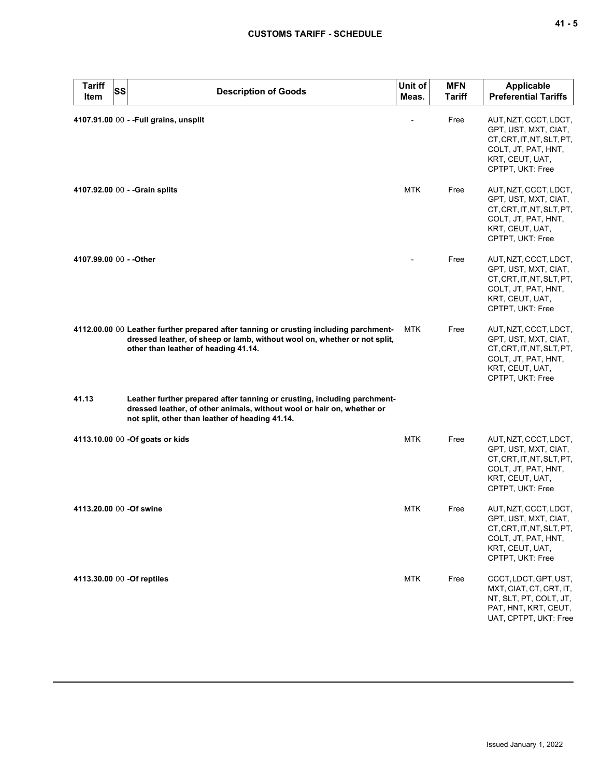|       | <b>Tariff</b><br>Item | SS | <b>Description of Goods</b>                                                                                                                                                                                | Unit of<br>Meas. | <b>MFN</b><br><b>Tariff</b> | <b>Applicable</b><br><b>Preferential Tariffs</b>                                                                                         |
|-------|-----------------------|----|------------------------------------------------------------------------------------------------------------------------------------------------------------------------------------------------------------|------------------|-----------------------------|------------------------------------------------------------------------------------------------------------------------------------------|
|       |                       |    | 4107.91.00 00 - - Full grains, unsplit                                                                                                                                                                     |                  | Free                        | AUT, NZT, CCCT, LDCT,<br>GPT, UST, MXT, CIAT,<br>CT, CRT, IT, NT, SLT, PT,<br>COLT, JT, PAT, HNT,<br>KRT, CEUT, UAT,<br>CPTPT, UKT: Free |
|       |                       |    | 4107.92.00 00 - - Grain splits                                                                                                                                                                             | <b>MTK</b>       | Free                        | AUT, NZT, CCCT, LDCT,<br>GPT, UST, MXT, CIAT,<br>CT, CRT, IT, NT, SLT, PT,<br>COLT, JT, PAT, HNT,<br>KRT, CEUT, UAT,<br>CPTPT, UKT: Free |
|       |                       |    | 4107.99.00 00 - - Other                                                                                                                                                                                    |                  | Free                        | AUT, NZT, CCCT, LDCT,<br>GPT, UST, MXT, CIAT,<br>CT, CRT, IT, NT, SLT, PT,<br>COLT, JT, PAT, HNT,<br>KRT, CEUT, UAT,<br>CPTPT, UKT: Free |
|       |                       |    | 4112.00.00 00 Leather further prepared after tanning or crusting including parchment-<br>dressed leather, of sheep or lamb, without wool on, whether or not split,<br>other than leather of heading 41.14. | MTK              | Free                        | AUT, NZT, CCCT, LDCT,<br>GPT, UST, MXT, CIAT,<br>CT.CRT.IT.NT.SLT.PT.<br>COLT, JT, PAT, HNT,<br>KRT, CEUT, UAT,<br>CPTPT, UKT: Free      |
| 41.13 |                       |    | Leather further prepared after tanning or crusting, including parchment-<br>dressed leather, of other animals, without wool or hair on, whether or<br>not split, other than leather of heading 41.14.      |                  |                             |                                                                                                                                          |
|       |                       |    | 4113.10.00 00 - Of goats or kids                                                                                                                                                                           | <b>MTK</b>       | Free                        | AUT, NZT, CCCT, LDCT,<br>GPT, UST, MXT, CIAT,<br>CT, CRT, IT, NT, SLT, PT,<br>COLT, JT, PAT, HNT,<br>KRT, CEUT, UAT,<br>CPTPT, UKT: Free |
|       |                       |    | 4113.20.00 00 -Of swine                                                                                                                                                                                    | <b>MTK</b>       | Free                        | AUT, NZT, CCCT, LDCT,<br>GPT, UST, MXT, CIAT,<br>CT, CRT, IT, NT, SLT, PT,<br>COLT, JT, PAT, HNT,<br>KRT, CEUT, UAT,<br>CPTPT, UKT: Free |
|       |                       |    | 4113.30.00 00 -Of reptiles                                                                                                                                                                                 | <b>MTK</b>       | Free                        | CCCT, LDCT, GPT, UST,<br>MXT, CIAT, CT, CRT, IT,<br>NT, SLT, PT, COLT, JT,<br>PAT, HNT, KRT, CEUT,<br>UAT, CPTPT, UKT: Free              |